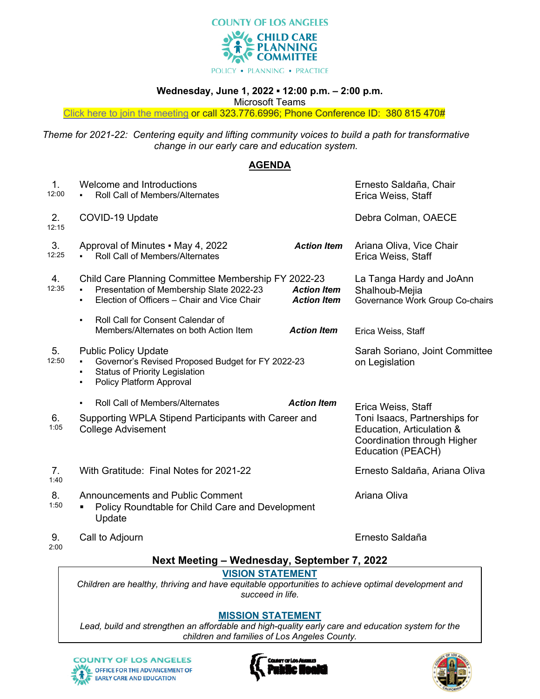

POLICY . PLANNING . PRACTICE

#### **Wednesday, June 1, 2022 ▪ 12:00 p.m. – 2:00 p.m.**

Microsoft Teams

Click here to join the meeting or call 323.776.6996; Phone Conference ID: 380 815 470#

*Theme for 2021-22: Centering equity and lifting community voices to build a path for transformative change in our early care and education system.*

# **AGENDA**

| 1.<br>12:00 | Welcome and Introductions<br><b>Roll Call of Members/Alternates</b><br>$\blacksquare$                                                                           |                                          | Ernesto Saldaña, Chair<br>Erica Weiss, Staff                                                                   |
|-------------|-----------------------------------------------------------------------------------------------------------------------------------------------------------------|------------------------------------------|----------------------------------------------------------------------------------------------------------------|
| 2.<br>12:15 | COVID-19 Update                                                                                                                                                 |                                          | Debra Colman, OAECE                                                                                            |
| 3.<br>12:25 | Approval of Minutes - May 4, 2022<br>Roll Call of Members/Alternates                                                                                            | <b>Action Item</b>                       | Ariana Oliva, Vice Chair<br>Erica Weiss, Staff                                                                 |
| 4.<br>12:35 | Child Care Planning Committee Membership FY 2022-23<br>Presentation of Membership Slate 2022-23<br>Election of Officers - Chair and Vice Chair<br>٠             | <b>Action Item</b><br><b>Action Item</b> | La Tanga Hardy and JoAnn<br>Shalhoub-Mejia<br>Governance Work Group Co-chairs                                  |
|             | <b>Roll Call for Consent Calendar of</b><br>$\blacksquare$<br>Members/Alternates on both Action Item                                                            | <b>Action Item</b>                       | Erica Weiss, Staff                                                                                             |
| 5.<br>12:50 | <b>Public Policy Update</b><br>Governor's Revised Proposed Budget for FY 2022-23<br><b>Status of Priority Legislation</b><br>٠<br>Policy Platform Approval<br>٠ |                                          | Sarah Soriano, Joint Committee<br>on Legislation                                                               |
|             | Roll Call of Members/Alternates<br>$\blacksquare$                                                                                                               | <b>Action Item</b>                       | Erica Weiss, Staff                                                                                             |
| 6.<br>1:05  | Supporting WPLA Stipend Participants with Career and<br><b>College Advisement</b>                                                                               |                                          | Toni Isaacs, Partnerships for<br>Education, Articulation &<br>Coordination through Higher<br>Education (PEACH) |
| 7.<br>1:40  | With Gratitude: Final Notes for 2021-22                                                                                                                         |                                          | Ernesto Saldaña, Ariana Oliva                                                                                  |
| 8.<br>1:50  | <b>Announcements and Public Comment</b><br>Policy Roundtable for Child Care and Development<br>Update                                                           |                                          | Ariana Oliva                                                                                                   |
| 9.<br>2:00  | Call to Adjourn                                                                                                                                                 |                                          | Ernesto Saldaña                                                                                                |

# **Next Meeting – Wednesday, September 7, 2022**

## **VISION STATEMENT**

*Children are healthy, thriving and have equitable opportunities to achieve optimal development and succeed in life.*

## **MISSION STATEMENT**

*Lead, build and strengthen an affordable and high-quality early care and education system for the children and families of Los Angeles County.*



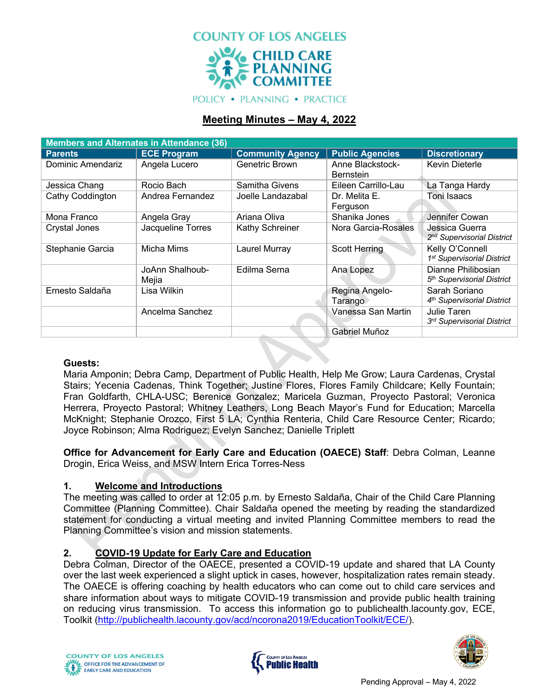

**POLICY • PLANNING • PRACTICE** 

# **Meeting Minutes – May 4, 2022**

| <b>Members and Alternates in Attendance (36)</b> |                          |                         |                                      |                                                              |  |  |  |
|--------------------------------------------------|--------------------------|-------------------------|--------------------------------------|--------------------------------------------------------------|--|--|--|
| <b>Parents</b>                                   | <b>ECE Program</b>       | <b>Community Agency</b> | <b>Public Agencies</b>               | <b>Discretionary</b>                                         |  |  |  |
| Dominic Amendariz                                | Angela Lucero            | Genetric Brown          | Anne Blackstock-<br><b>Bernstein</b> | <b>Kevin Dieterle</b>                                        |  |  |  |
| Jessica Chang                                    | Rocio Bach               | Samitha Givens          | Eileen Carrillo-Lau                  | La Tanga Hardy                                               |  |  |  |
| Cathy Coddington                                 | Andrea Fernandez         | Joelle Landazabal       | Dr. Melita E.<br>Ferguson            | Toni Isaacs                                                  |  |  |  |
| Mona Franco                                      | Angela Gray              | Ariana Oliva            | Shanika Jones                        | Jennifer Cowan                                               |  |  |  |
| Crystal Jones                                    | Jacqueline Torres        | Kathy Schreiner         | Nora Garcia-Rosales                  | Jessica Guerra<br>2 <sup>nd</sup> Supervisorial District     |  |  |  |
| Stephanie Garcia                                 | Micha Mims               | Laurel Murray           | <b>Scott Herring</b>                 | Kelly O'Connell<br>1 <sup>st</sup> Supervisorial District    |  |  |  |
|                                                  | JoAnn Shalhoub-<br>Mejia | Edilma Serna            | Ana Lopez                            | Dianne Philibosian<br>5 <sup>th</sup> Supervisorial District |  |  |  |
| Ernesto Saldaña                                  | Lisa Wilkin              |                         | Regina Angelo-<br>Tarango            | Sarah Soriano<br>4 <sup>th</sup> Supervisorial District      |  |  |  |
|                                                  | Ancelma Sanchez          |                         | Vanessa San Martin                   | Julie Taren<br>3rd Supervisorial District                    |  |  |  |
|                                                  |                          |                         | <b>Gabriel Muñoz</b>                 |                                                              |  |  |  |

## **Guests:**

Maria Amponin; Debra Camp, Department of Public Health, Help Me Grow; Laura Cardenas, Crystal Stairs; Yecenia Cadenas, Think Together; Justine Flores, Flores Family Childcare; Kelly Fountain; Fran Goldfarth, CHLA-USC; Berenice Gonzalez; Maricela Guzman, Proyecto Pastoral; Veronica Herrera, Proyecto Pastoral; Whitney Leathers, Long Beach Mayor's Fund for Education; Marcella McKnight; Stephanie Orozco, First 5 LA; Cynthia Renteria, Child Care Resource Center; Ricardo; Joyce Robinson; Alma Rodriguez; Evelyn Sanchez; Danielle Triplett

**Office for Advancement for Early Care and Education (OAECE) Staff**: Debra Colman, Leanne Drogin, Erica Weiss, and MSW Intern Erica Torres-Ness

## **1. Welcome and Introductions**

The meeting was called to order at 12:05 p.m. by Ernesto Saldaña, Chair of the Child Care Planning Committee (Planning Committee). Chair Saldaña opened the meeting by reading the standardized statement for conducting a virtual meeting and invited Planning Committee members to read the Planning Committee's vision and mission statements.

# **2. COVID-19 Update for Early Care and Education**

Debra Colman, Director of the OAECE, presented a COVID-19 update and shared that LA County over the last week experienced a slight uptick in cases, however, hospitalization rates remain steady. The OAECE is offering coaching by health educators who can come out to child care services and share information about ways to mitigate COVID-19 transmission and provide public health training on reducing virus transmission. To access this information go to publichealth.lacounty.gov, ECE, Toolkit (http://publichealth.lacounty.gov/acd/ncorona2019/EducationToolkit/ECE/).



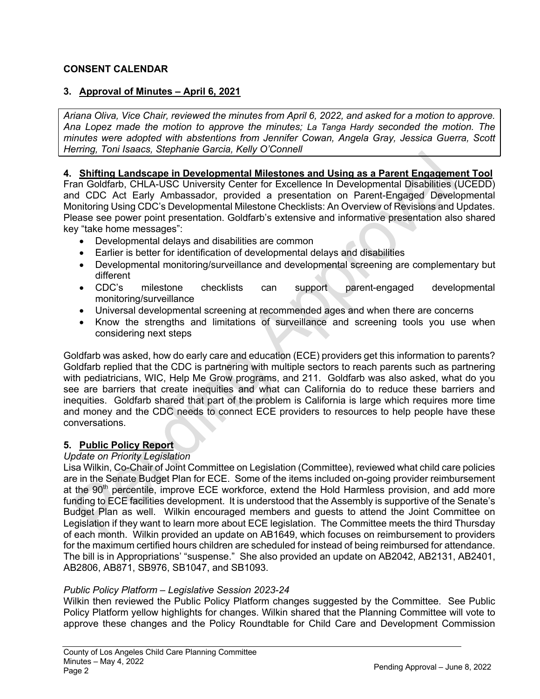# **CONSENT CALENDAR**

# **3. Approval of Minutes – April 6, 2021**

*Ariana Oliva, Vice Chair, reviewed the minutes from April 6, 2022, and asked for a motion to approve. Ana Lopez made the motion to approve the minutes; La Tanga Hardy seconded the motion. The minutes were adopted with abstentions from Jennifer Cowan, Angela Gray, Jessica Guerra, Scott Herring, Toni Isaacs, Stephanie Garcia, Kelly O'Connell*

#### **4. Shifting Landscape in Developmental Milestones and Using as a Parent Engagement Tool**

Fran Goldfarb, CHLA-USC University Center for Excellence In Developmental Disabilities (UCEDD) and CDC Act Early Ambassador, provided a presentation on Parent-Engaged Developmental Monitoring Using CDC's Developmental Milestone Checklists: An Overview of Revisions and Updates. Please see power point presentation. Goldfarb's extensive and informative presentation also shared key "take home messages":

- Developmental delays and disabilities are common
- Earlier is better for identification of developmental delays and disabilities
- Developmental monitoring/surveillance and developmental screening are complementary but different
- CDC's milestone checklists can support parent-engaged developmental monitoring/surveillance
- Universal developmental screening at recommended ages and when there are concerns
- Know the strengths and limitations of surveillance and screening tools you use when considering next steps

Goldfarb was asked, how do early care and education (ECE) providers get this information to parents? Goldfarb replied that the CDC is partnering with multiple sectors to reach parents such as partnering with pediatricians, WIC, Help Me Grow programs, and 211. Goldfarb was also asked, what do you see are barriers that create inequities and what can California do to reduce these barriers and inequities. Goldfarb shared that part of the problem is California is large which requires more time and money and the CDC needs to connect ECE providers to resources to help people have these conversations.

## **5. Public Policy Report**

#### *Update on Priority Legislation*

Lisa Wilkin, Co-Chair of Joint Committee on Legislation (Committee), reviewed what child care policies are in the Senate Budget Plan for ECE. Some of the items included on-going provider reimbursement at the  $90<sup>th</sup>$  percentile, improve ECE workforce, extend the Hold Harmless provision, and add more funding to ECE facilities development. It is understood that the Assembly is supportive of the Senate's Budget Plan as well. Wilkin encouraged members and guests to attend the Joint Committee on Legislation if they want to learn more about ECE legislation. The Committee meets the third Thursday of each month. Wilkin provided an update on AB1649, which focuses on reimbursement to providers for the maximum certified hours children are scheduled for instead of being reimbursed for attendance. The bill is in Appropriations' "suspense." She also provided an update on AB2042, AB2131, AB2401, AB2806, AB871, SB976, SB1047, and SB1093.

## *Public Policy Platform – Legislative Session 2023-24*

Wilkin then reviewed the Public Policy Platform changes suggested by the Committee. See Public Policy Platform yellow highlights for changes. Wilkin shared that the Planning Committee will vote to approve these changes and the Policy Roundtable for Child Care and Development Commission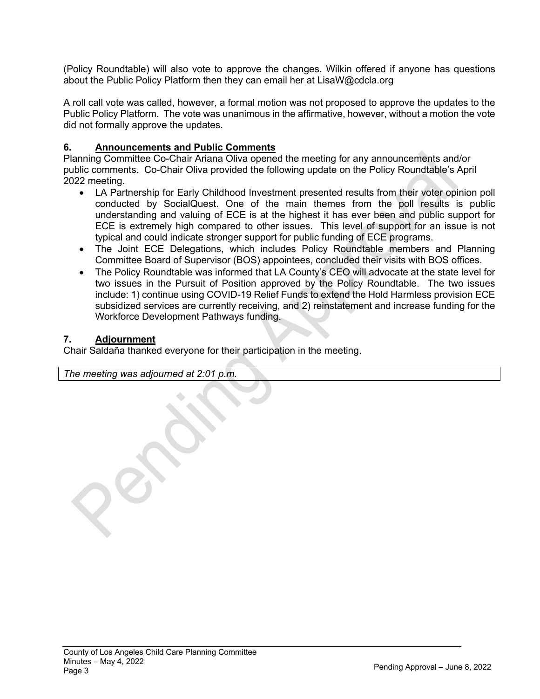(Policy Roundtable) will also vote to approve the changes. Wilkin offered if anyone has questions about the Public Policy Platform then they can email her at LisaW@cdcla.org

A roll call vote was called, however, a formal motion was not proposed to approve the updates to the Public Policy Platform. The vote was unanimous in the affirmative, however, without a motion the vote did not formally approve the updates.

## **6. Announcements and Public Comments**

Planning Committee Co-Chair Ariana Oliva opened the meeting for any announcements and/or public comments. Co-Chair Oliva provided the following update on the Policy Roundtable's April 2022 meeting.

- LA Partnership for Early Childhood Investment presented results from their voter opinion poll conducted by SocialQuest. One of the main themes from the poll results is public understanding and valuing of ECE is at the highest it has ever been and public support for ECE is extremely high compared to other issues. This level of support for an issue is not typical and could indicate stronger support for public funding of ECE programs.
- The Joint ECE Delegations, which includes Policy Roundtable members and Planning Committee Board of Supervisor (BOS) appointees, concluded their visits with BOS offices.
- The Policy Roundtable was informed that LA County's CEO will advocate at the state level for two issues in the Pursuit of Position approved by the Policy Roundtable. The two issues include: 1) continue using COVID-19 Relief Funds to extend the Hold Harmless provision ECE subsidized services are currently receiving, and 2) reinstatement and increase funding for the Workforce Development Pathways funding.

#### **7. Adjournment**

Chair Saldaña thanked everyone for their participation in the meeting.

*The meeting was adjourned at 2:01 p.m.*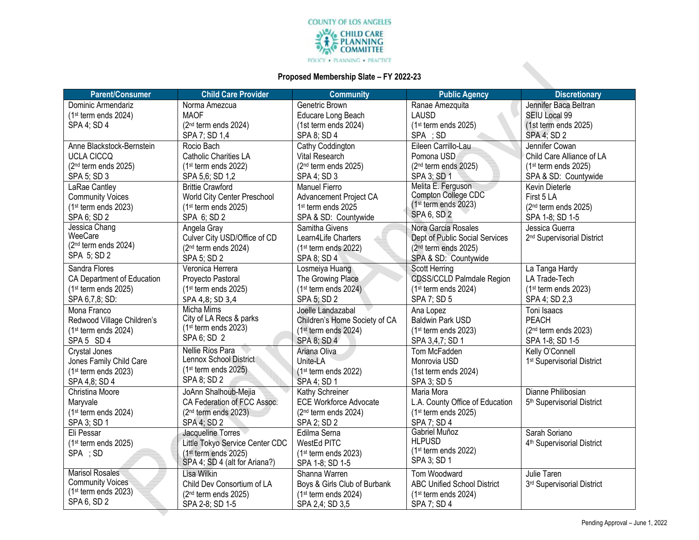

#### **Proposed Membership Slate – FY 2022-23**

| <b>Parent/Consumer</b>                            | <b>Child Care Provider</b>       | <b>Community</b>                 | <b>Public Agency</b>                            | <b>Discretionary</b>                   |
|---------------------------------------------------|----------------------------------|----------------------------------|-------------------------------------------------|----------------------------------------|
| Dominic Armendariz                                | Norma Amezcua                    | Genetric Brown                   | Ranae Amezquita                                 | Jennifer Baca Beltran                  |
| $(1st$ term ends 2024)                            | <b>MAOF</b>                      | Educare Long Beach               | <b>LAUSD</b>                                    | SEIU Local 99                          |
| SPA 4; SD 4                                       | (2 <sup>nd</sup> term ends 2024) | (1st term ends 2024)             | (1st term ends 2025)                            | (1st term ends 2025)                   |
|                                                   | SPA 7; SD 1,4                    | SPA 8; SD 4                      | SPA ; SD                                        | SPA 4; SD 2                            |
| Anne Blackstock-Bernstein                         | Rocio Bach                       | Cathy Coddington                 | Eileen Carrillo-Lau                             | Jennifer Cowan                         |
| <b>UCLA CICCQ</b>                                 | Catholic Charities LA            | Vital Research                   | Pomona USD                                      | Child Care Alliance of LA              |
| $(2nd$ term ends 2025)                            | (1 <sup>st</sup> term ends 2022) | (2 <sup>nd</sup> term ends 2025) | (2 <sup>nd</sup> term ends 2025)                | $(1st$ term ends 2025)                 |
| SPA 5; SD 3                                       | SPA 5,6; SD 1,2                  | SPA 4: SD 3                      | SPA 3; SD 1                                     | SPA & SD: Countywide                   |
| LaRae Cantley                                     | <b>Brittie Crawford</b>          | <b>Manuel Fierro</b>             | Melita E. Ferguson                              | Kevin Dieterle                         |
| <b>Community Voices</b>                           | World City Center Preschool      | Advancement Project CA           | Compton College CDC                             | First 5 LA                             |
| $(1st$ term ends 2023)                            | (1st term ends 2025)             | 1st term ends 2025               | $(1st$ term ends 2023)                          | $(2nd$ term ends 2025)                 |
| SPA 6; SD 2                                       | SPA 6; SD 2                      | SPA & SD: Countywide             | SPA 6, SD 2                                     | SPA 1-8; SD 1-5                        |
| Jessica Chang                                     | Angela Gray                      | Samitha Givens                   | Nora Garcia Rosales                             | Jessica Guerra                         |
| WeeCare                                           | Culver City USD/Office of CD     | Learn4Life Charters              | Dept of Public Social Services                  | 2 <sup>nd</sup> Supervisorial District |
| (2 <sup>nd</sup> term ends 2024)                  | (2 <sup>nd</sup> term ends 2024) | $(1st$ term ends 2022)           | (2 <sup>nd</sup> term ends 2025)                |                                        |
| SPA 5; SD 2                                       | SPA 5; SD 2                      | SPA 8; SD 4                      | SPA & SD: Countywide                            |                                        |
| Sandra Flores                                     | Veronica Herrera                 | Losmeiya Huang                   | <b>Scott Herring</b>                            | La Tanga Hardy                         |
| CA Department of Education                        | Proyecto Pastoral                | The Growing Place                | <b>CDSS/CCLD Palmdale Region</b>                | LA Trade-Tech                          |
| $(1st$ term ends 2025)                            | $(1st$ term ends 2025)           | $(1st$ term ends 2024)           | (1st term ends 2024)                            | $(1st$ term ends 2023)                 |
| SPA 6,7,8; SD:                                    | SPA 4,8; SD 3,4                  | SPA 5; SD 2                      | SPA 7; SD 5                                     | SPA 4; SD 2,3                          |
| Mona Franco                                       | <b>Micha Mims</b>                | Joelle Landazabal                | Ana Lopez                                       | Toni Isaacs                            |
| Redwood Village Children's                        | City of LA Recs & parks          | Children's Home Society of CA    | Baldwin Park USD                                | <b>PEACH</b>                           |
| (1st term ends 2024)                              | $(1st$ term ends 2023)           | $(1st$ term ends 2024)           | $(1st$ term ends 2023)                          | (2 <sup>nd</sup> term ends 2023)       |
| SPA 5 SD 4                                        | SPA 6; SD 2                      | <b>SPA 8; SD 4</b>               | SPA 3,4,7; SD 1                                 | SPA 1-8; SD 1-5                        |
| Crystal Jones                                     | Nellie Ríos Para                 | Ariana Oliva                     | Tom McFadden                                    | Kelly O'Connell                        |
| Jones Family Child Care                           | Lennox School District           | Unite-LA                         | Monrovia USD                                    | 1 <sup>st</sup> Supervisorial District |
| $(1st$ term ends 2023)                            | (1st term ends 2025)             | (1 <sup>st</sup> term ends 2022) | (1st term ends 2024)                            |                                        |
| SPA 4,8; SD 4                                     | SPA 8; SD 2                      | SPA 4; SD 1                      | SPA 3; SD 5                                     |                                        |
| Christina Moore                                   | JoAnn Shalhoub-Mejia             | Kathy Schreiner                  | Maria Mora                                      | Dianne Philibosian                     |
| Maryvale                                          | CA Federation of FCC Assoc.      | <b>ECE Workforce Advocate</b>    | L.A. County Office of Education                 | 5 <sup>th</sup> Supervisorial District |
| (1st term ends 2024)                              | $(2nd$ term ends 2023)           | $(2nd$ term ends 2024)           | (1 <sup>st</sup> term ends 2025)                |                                        |
| SPA 3; SD 1                                       | SPA 4; SD 2                      | SPA 2; SD 2                      | SPA 7; SD 4                                     |                                        |
| Eli Pessar                                        | Jacqueline Torres                | Edilma Serna                     | Gabriel Muñoz                                   | Sarah Soriano                          |
| $(1st$ term ends 2025)                            | Little Tokyo Service Center CDC  | WestEd PITC                      | <b>HLPUSD</b>                                   | 4 <sup>th</sup> Supervisorial District |
| SPA ; SD                                          | (1 <sup>st</sup> term ends 2025) | $(1st$ term ends 2023)           | (1 <sup>st</sup> term ends 2022)<br>SPA 3; SD 1 |                                        |
|                                                   | SPA 4; SD 4 (alt for Ariana?)    | SPA 1-8; SD 1-5                  |                                                 |                                        |
| <b>Marisol Rosales</b>                            | Lisa Wilkin                      | Shanna Warren                    | Tom Woodward                                    | Julie Taren                            |
| <b>Community Voices</b><br>$(1st$ term ends 2023) | Child Dev Consortium of LA       | Boys & Girls Club of Burbank     | <b>ABC Unified School District</b>              | 3rd Supervisorial District             |
| SPA 6, SD 2                                       | (2 <sup>nd</sup> term ends 2025) | $(1st$ term ends 2024)           | (1 <sup>st</sup> term ends 2024)                |                                        |
|                                                   | SPA 2-8; SD 1-5                  | SPA 2,4; SD 3,5                  | SPA 7; SD 4                                     |                                        |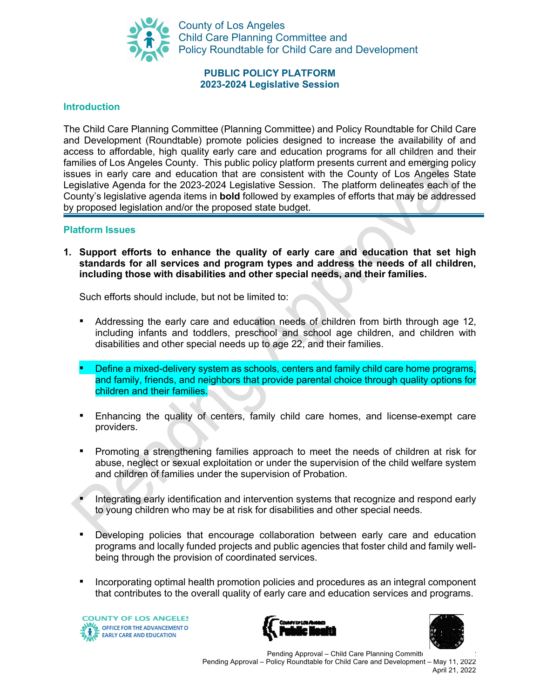

County of Los Angeles Child Care Planning Committee and Policy Roundtable for Child Care and Development

## **PUBLIC POLICY PLATFORM 2023-2024 Legislative Session**

#### **Introduction**

The Child Care Planning Committee (Planning Committee) and Policy Roundtable for Child Care and Development (Roundtable) promote policies designed to increase the availability of and access to affordable, high quality early care and education programs for all children and their families of Los Angeles County. This public policy platform presents current and emerging policy issues in early care and education that are consistent with the County of Los Angeles State Legislative Agenda for the 2023-2024 Legislative Session. The platform delineates each of the County's legislative agenda items in **bold** followed by examples of efforts that may be addressed by proposed legislation and/or the proposed state budget.

#### **Platform Issues**

**1. Support efforts to enhance the quality of early care and education that set high standards for all services and program types and address the needs of all children, including those with disabilities and other special needs, and their families.** 

- Addressing the early care and education needs of children from birth through age 12, including infants and toddlers, preschool and school age children, and children with disabilities and other special needs up to age 22, and their families.
- Define a mixed-delivery system as schools, centers and family child care home programs, and family, friends, and neighbors that provide parental choice through quality options for children and their families.
- Enhancing the quality of centers, family child care homes, and license-exempt care providers.
- Promoting a strengthening families approach to meet the needs of children at risk for abuse, neglect or sexual exploitation or under the supervision of the child welfare system and children of families under the supervision of Probation.
- Integrating early identification and intervention systems that recognize and respond early to young children who may be at risk for disabilities and other special needs.
- Developing policies that encourage collaboration between early care and education programs and locally funded projects and public agencies that foster child and family wellbeing through the provision of coordinated services.
- Incorporating optimal health promotion policies and procedures as an integral component that contributes to the overall quality of early care and education services and programs.





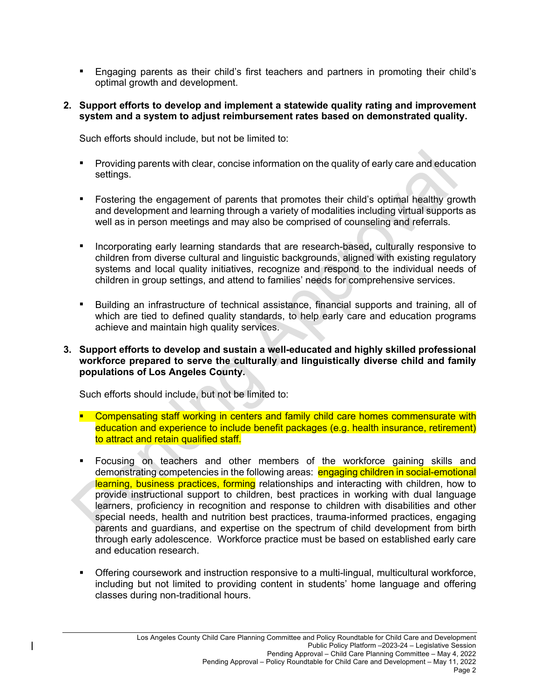- Engaging parents as their child's first teachers and partners in promoting their child's optimal growth and development.
- **2. Support efforts to develop and implement a statewide quality rating and improvement system and a system to adjust reimbursement rates based on demonstrated quality.**

Such efforts should include, but not be limited to:

- **•** Providing parents with clear, concise information on the quality of early care and education settings.
- **•** Fostering the engagement of parents that promotes their child's optimal healthy growth and development and learning through a variety of modalities including virtual supports as well as in person meetings and may also be comprised of counseling and referrals.
- Incorporating early learning standards that are research-based**,** culturally responsive to children from diverse cultural and linguistic backgrounds, aligned with existing regulatory systems and local quality initiatives, recognize and respond to the individual needs of children in group settings, and attend to families' needs for comprehensive services.
- Building an infrastructure of technical assistance, financial supports and training, all of which are tied to defined quality standards, to help early care and education programs achieve and maintain high quality services.
- **3. Support efforts to develop and sustain a well-educated and highly skilled professional workforce prepared to serve the culturally and linguistically diverse child and family populations of Los Angeles County.**

- **Compensating staff working in centers and family child care homes commensurate with** education and experience to include benefit packages (e.g. health insurance, retirement) to attract and retain qualified staff.
- § Focusing on teachers and other members of the workforce gaining skills and demonstrating competencies in the following areas: engaging children in social-emotional learning, business practices, forming relationships and interacting with children, how to provide instructional support to children, best practices in working with dual language learners, proficiency in recognition and response to children with disabilities and other special needs, health and nutrition best practices, trauma-informed practices, engaging parents and guardians, and expertise on the spectrum of child development from birth through early adolescence. Workforce practice must be based on established early care and education research.
- Offering coursework and instruction responsive to a multi-lingual, multicultural workforce, including but not limited to providing content in students' home language and offering classes during non-traditional hours.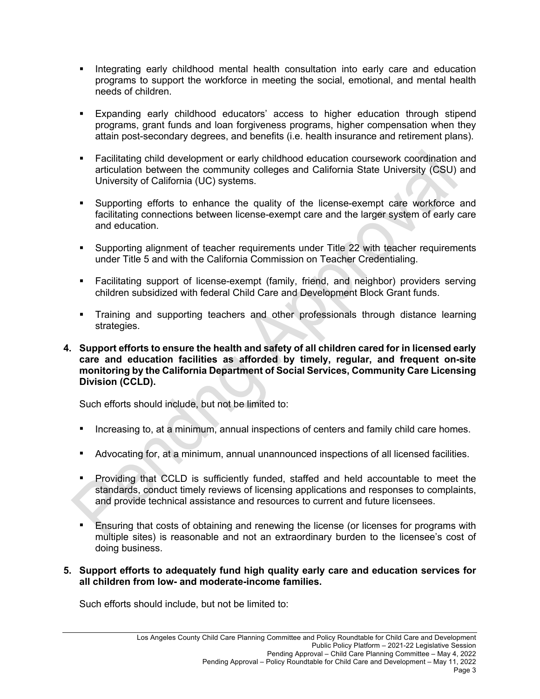- Integrating early childhood mental health consultation into early care and education programs to support the workforce in meeting the social, emotional, and mental health needs of children.
- § Expanding early childhood educators' access to higher education through stipend programs, grant funds and loan forgiveness programs, higher compensation when they attain post-secondary degrees, and benefits (i.e. health insurance and retirement plans).
- § Facilitating child development or early childhood education coursework coordination and articulation between the community colleges and California State University (CSU) and University of California (UC) systems.
- § Supporting efforts to enhance the quality of the license-exempt care workforce and facilitating connections between license-exempt care and the larger system of early care and education.
- Supporting alignment of teacher requirements under Title 22 with teacher requirements under Title 5 and with the California Commission on Teacher Credentialing.
- § Facilitating support of license-exempt (family, friend, and neighbor) providers serving children subsidized with federal Child Care and Development Block Grant funds.
- § Training and supporting teachers and other professionals through distance learning strategies.
- **4. Support efforts to ensure the health and safety of all children cared for in licensed early care and education facilities as afforded by timely, regular, and frequent on-site monitoring by the California Department of Social Services, Community Care Licensing Division (CCLD).**

Such efforts should include, but not be limited to:

- **E** Increasing to, at a minimum, annual inspections of centers and family child care homes.
- Advocating for, at a minimum, annual unannounced inspections of all licensed facilities.
- Providing that CCLD is sufficiently funded, staffed and held accountable to meet the standards, conduct timely reviews of licensing applications and responses to complaints, and provide technical assistance and resources to current and future licensees.
- Ensuring that costs of obtaining and renewing the license (or licenses for programs with multiple sites) is reasonable and not an extraordinary burden to the licensee's cost of doing business.

## **5. Support efforts to adequately fund high quality early care and education services for all children from low- and moderate-income families.**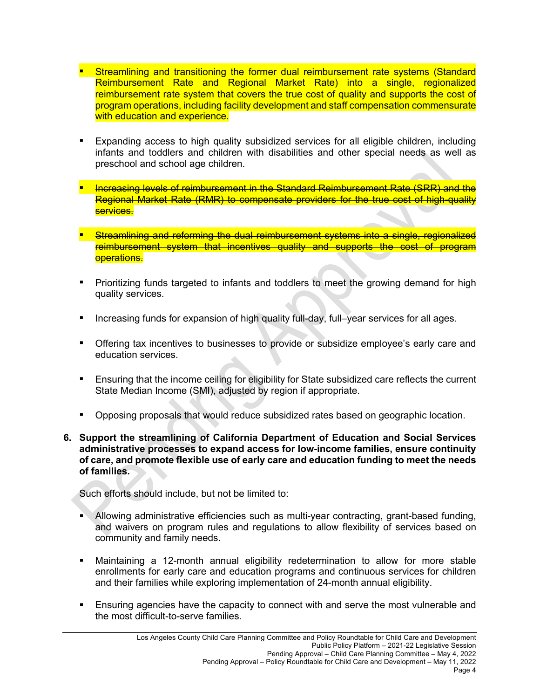- Streamlining and transitioning the former dual reimbursement rate systems (Standard Reimbursement Rate and Regional Market Rate) into a single, regionalized reimbursement rate system that covers the true cost of quality and supports the cost of program operations, including facility development and staff compensation commensurate with education and experience.
- Expanding access to high quality subsidized services for all eligible children, including infants and toddlers and children with disabilities and other special needs as well as preschool and school age children.
- <u>■ Increasing levels of reimbursement in the Standard Reimbursement Rate (SRR) and the</u> Regional Market Rate (RMR) to compensate providers for the true cost of high-quality services.
- -Streamlining and reforming the dual reimbursement systems into a single, regionalized reimbursement system that incentives quality and supports the cost of program operations.
- Prioritizing funds targeted to infants and toddlers to meet the growing demand for high quality services.
- Increasing funds for expansion of high quality full-day, full–year services for all ages.
- **•** Offering tax incentives to businesses to provide or subsidize employee's early care and education services.
- **Ensuring that the income ceiling for eligibility for State subsidized care reflects the current** State Median Income (SMI), adjusted by region if appropriate.
- Opposing proposals that would reduce subsidized rates based on geographic location.
- **6. Support the streamlining of California Department of Education and Social Services administrative processes to expand access for low-income families, ensure continuity of care, and promote flexible use of early care and education funding to meet the needs of families.**

- § Allowing administrative efficiencies such as multi-year contracting, grant-based funding, and waivers on program rules and regulations to allow flexibility of services based on community and family needs.
- § Maintaining a 12-month annual eligibility redetermination to allow for more stable enrollments for early care and education programs and continuous services for children and their families while exploring implementation of 24-month annual eligibility.
- Ensuring agencies have the capacity to connect with and serve the most vulnerable and the most difficult-to-serve families.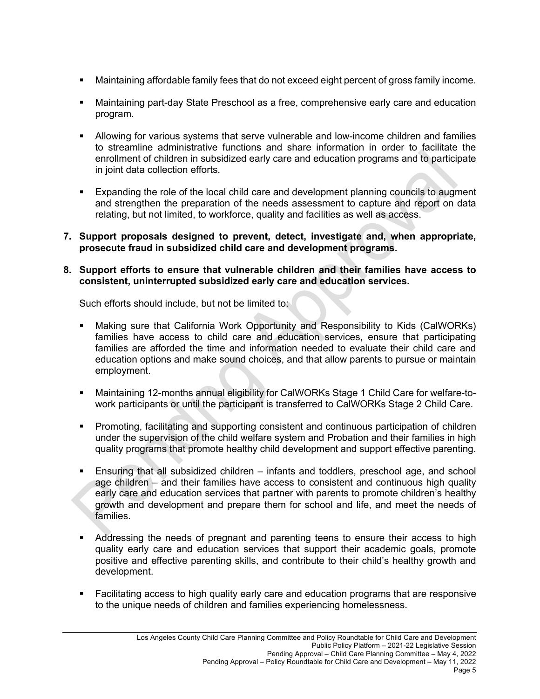- § Maintaining affordable family fees that do not exceed eight percent of gross family income.
- Maintaining part-day State Preschool as a free, comprehensive early care and education program.
- **•** Allowing for various systems that serve vulnerable and low-income children and families to streamline administrative functions and share information in order to facilitate the enrollment of children in subsidized early care and education programs and to participate in joint data collection efforts.
- § Expanding the role of the local child care and development planning councils to augment and strengthen the preparation of the needs assessment to capture and report on data relating, but not limited, to workforce, quality and facilities as well as access.
- **7. Support proposals designed to prevent, detect, investigate and, when appropriate, prosecute fraud in subsidized child care and development programs.**

## **8. Support efforts to ensure that vulnerable children and their families have access to consistent, uninterrupted subsidized early care and education services.**

- § Making sure that California Work Opportunity and Responsibility to Kids (CalWORKs) families have access to child care and education services, ensure that participating families are afforded the time and information needed to evaluate their child care and education options and make sound choices, and that allow parents to pursue or maintain employment.
- Maintaining 12-months annual eligibility for CalWORKs Stage 1 Child Care for welfare-towork participants or until the participant is transferred to CalWORKs Stage 2 Child Care.
- Promoting, facilitating and supporting consistent and continuous participation of children under the supervision of the child welfare system and Probation and their families in high quality programs that promote healthy child development and support effective parenting.
- § Ensuring that all subsidized children infants and toddlers, preschool age, and school age children – and their families have access to consistent and continuous high quality early care and education services that partner with parents to promote children's healthy growth and development and prepare them for school and life, and meet the needs of families.
- Addressing the needs of pregnant and parenting teens to ensure their access to high quality early care and education services that support their academic goals, promote positive and effective parenting skills, and contribute to their child's healthy growth and development.
- Facilitating access to high quality early care and education programs that are responsive to the unique needs of children and families experiencing homelessness.